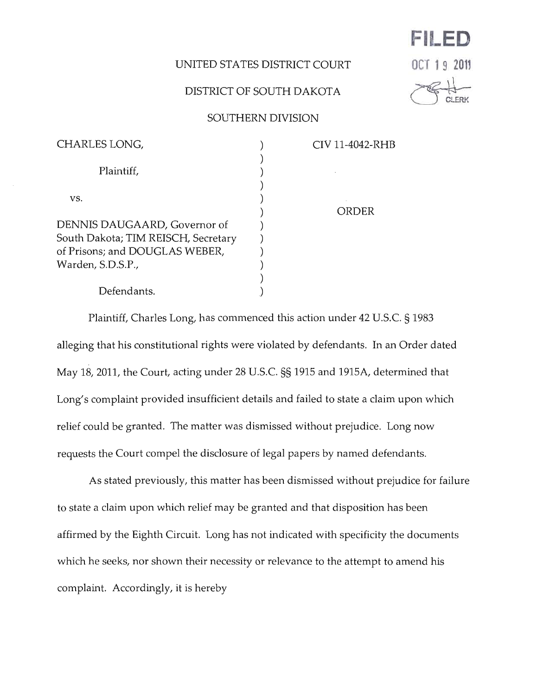## UNITED STATES DISTRICT COURT

## DISTRICT OF SOUTH DAKOTA

## **DC 19 201**

**FILED** 

## SOUTHERN DIVISION

| CHARLES LONG,                       | CIV 11-4042-RHB |
|-------------------------------------|-----------------|
|                                     |                 |
| Plaintiff,                          |                 |
|                                     |                 |
| VS.                                 |                 |
|                                     | ORDER           |
| DENNIS DAUGAARD, Governor of        |                 |
| South Dakota; TIM REISCH, Secretary |                 |
| of Prisons; and DOUGLAS WEBER,      |                 |
| Warden, S.D.S.P.,                   |                 |
|                                     |                 |
| Defendants.                         |                 |
|                                     |                 |

Plaintiff, Charles Long, has commenced this action under 42 U.S.C. § 1983 alleging that his constitutional rights were violated by defendants. In an Order dated May 18, 2011, the Court, acting under 28 U.s.c. §§ 1915 and 1915A, determined that Long's complaint provided insufficient details and failed to state a claim upon which relief could be granted. The matter was dismissed without prejudice. Long now requests the Court compel the disclosure of legal papers by named defendants.

As stated previously, this matter has been dismissed without prejudice for failure to state a claim upon which relief may be granted and that disposition has been affirmed by the Eighth Circuit. Long has not indicated with specificity the documents which he seeks, nor shown their necessity or relevance to the attempt to amend his complaint. Accordingly, it is hereby